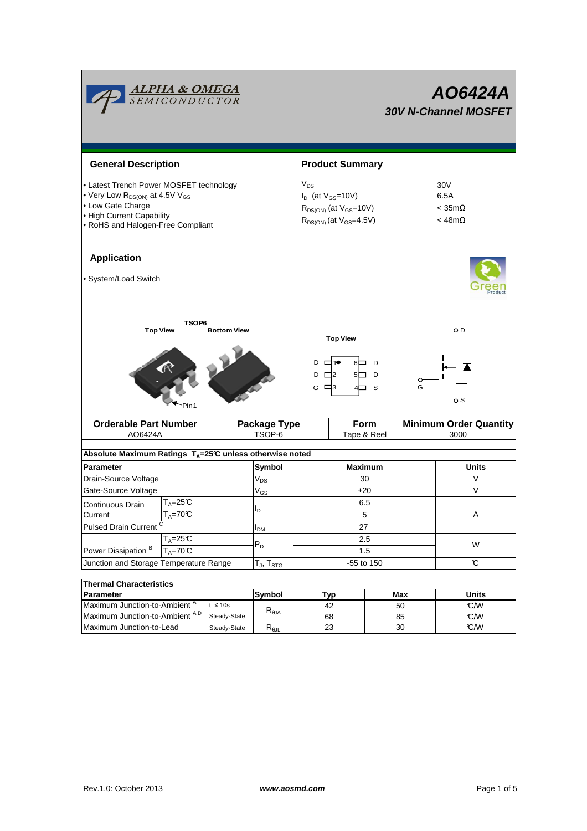|                                                                                                                                                                                          | <b>ALPHA &amp; OMEGA</b><br>SEMICONDUCTOR |                    |                        |                                                                                                             |                       |                     |                               | AO6424A<br><b>30V N-Channel MOSFET</b>                          |  |  |
|------------------------------------------------------------------------------------------------------------------------------------------------------------------------------------------|-------------------------------------------|--------------------|------------------------|-------------------------------------------------------------------------------------------------------------|-----------------------|---------------------|-------------------------------|-----------------------------------------------------------------|--|--|
| <b>General Description</b>                                                                                                                                                               |                                           |                    | <b>Product Summary</b> |                                                                                                             |                       |                     |                               |                                                                 |  |  |
| • Latest Trench Power MOSFET technology<br>• Very Low R <sub>DS(ON)</sub> at 4.5V V <sub>GS</sub><br>• Low Gate Charge<br>• High Current Capability<br>• RoHS and Halogen-Free Compliant |                                           |                    |                        | $V_{DS}$<br>$I_D$ (at $V_{GS}$ =10V)<br>$R_{DS(ON)}$ (at $V_{GS}$ =10V)<br>$R_{DS(ON)}$ (at $V_{GS}$ =4.5V) |                       |                     |                               | 30 <sub>V</sub><br>6.5A<br>$<$ 35m $\Omega$<br>$<$ 48m $\Omega$ |  |  |
| <b>Application</b><br>· System/Load Switch                                                                                                                                               |                                           |                    |                        |                                                                                                             |                       |                     |                               |                                                                 |  |  |
| <b>Top View</b>                                                                                                                                                                          | TSOP6                                     | <b>Bottom View</b> |                        | $D \Box 1$<br>$D \Box 2$<br>G $\Box$ 3                                                                      | <b>Top View</b><br>4□ | 6□ D<br>5□ D<br>- S | O<br>G                        | O D<br>ბ S                                                      |  |  |
| <b>Orderable Part Number</b>                                                                                                                                                             |                                           |                    | <b>Package Type</b>    |                                                                                                             | Form                  |                     | <b>Minimum Order Quantity</b> |                                                                 |  |  |
| AO6424A<br>Absolute Maximum Ratings T <sub>A</sub> =25℃ unless otherwise noted                                                                                                           |                                           |                    | TSOP-6                 |                                                                                                             |                       | Tape & Reel         |                               | 3000                                                            |  |  |
| <b>Parameter</b>                                                                                                                                                                         |                                           |                    | Symbol                 | <b>Maximum</b>                                                                                              |                       |                     | Units                         |                                                                 |  |  |
| Drain-Source Voltage                                                                                                                                                                     |                                           |                    | $V_{DS}$               | 30                                                                                                          |                       |                     |                               | V                                                               |  |  |
| Gate-Source Voltage                                                                                                                                                                      |                                           |                    | $V_{GS}$               | ±20                                                                                                         |                       |                     |                               | V                                                               |  |  |
| Continuous Drain<br>Current                                                                                                                                                              | T <sub>A</sub> =25℃<br>$T_A = 70C$        |                    |                        | 6.5<br>5                                                                                                    |                       |                     |                               | Α                                                               |  |  |
| <b>Pulsed Drain Current</b>                                                                                                                                                              |                                           |                    | I <sub>DM</sub>        | 27                                                                                                          |                       |                     |                               |                                                                 |  |  |
| $T_A = 25C$<br>Power Dissipation <sup>B</sup><br>$T_A = 70^\circ C$                                                                                                                      |                                           |                    | $P_D$                  | 2.5<br>1.5                                                                                                  |                       |                     |                               | W                                                               |  |  |
| Junction and Storage Temperature Range                                                                                                                                                   |                                           |                    | $T_J$ , $T_{STG}$      | -55 to 150                                                                                                  |                       |                     |                               | C                                                               |  |  |
|                                                                                                                                                                                          |                                           |                    |                        |                                                                                                             |                       |                     |                               |                                                                 |  |  |
| <b>Thermal Characteristics</b><br>Parameter                                                                                                                                              |                                           |                    | Symbol                 | <b>Typ</b>                                                                                                  |                       |                     | Max                           | Units                                                           |  |  |
| Maximum Junction-to-Ambient <sup>A</sup><br>$t \leq 10s$                                                                                                                                 |                                           |                    |                        |                                                                                                             | 42                    |                     | 50                            | C/W                                                             |  |  |
| Maximum Junction-to-Ambient AD                                                                                                                                                           |                                           | Steady-State       | $R_{\theta$ JA         | 68                                                                                                          |                       |                     | 85                            | C/W                                                             |  |  |

Steady-State R<sub>θJL</sub>

Maximum Junction-to-Lead Steady-State R<sub>eJL</sub> 23 30 30 C/W

23

30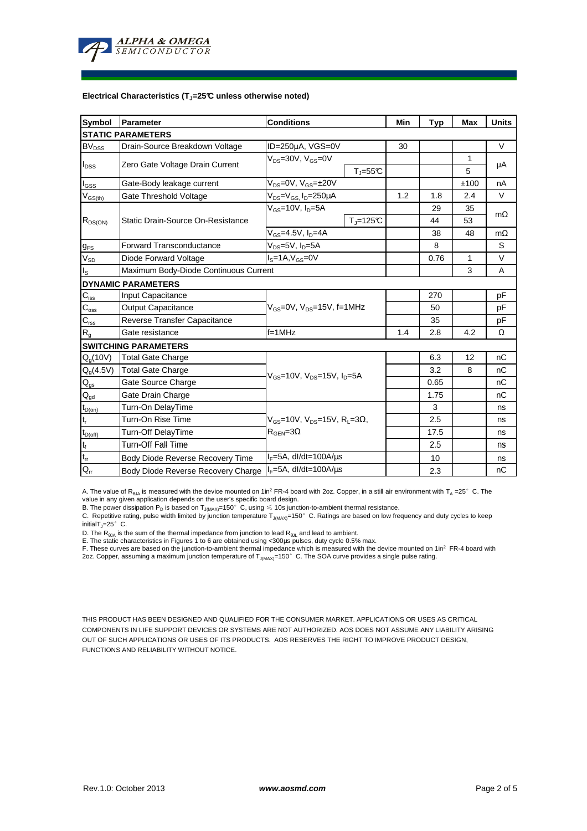

#### **Electrical Characteristics (TJ=25°C unless otherwise noted)**

| <b>Symbol</b>                          | Parameter<br><b>Conditions</b>                                       |                                                                     |                    | Min  | <b>Typ</b> | <b>Max</b> | <b>Units</b> |  |  |  |  |  |  |
|----------------------------------------|----------------------------------------------------------------------|---------------------------------------------------------------------|--------------------|------|------------|------------|--------------|--|--|--|--|--|--|
| <b>STATIC PARAMETERS</b>               |                                                                      |                                                                     |                    |      |            |            |              |  |  |  |  |  |  |
| <b>BV<sub>DSS</sub></b>                | Drain-Source Breakdown Voltage                                       | ID=250µA, VGS=0V                                                    |                    |      |            |            | $\vee$       |  |  |  |  |  |  |
| $I_{DSS}$                              |                                                                      | $V_{DS} = 30V$ , $V_{GS} = 0V$<br>$T_{J} = 55^{\circ}C$             |                    |      |            | 1          | μA           |  |  |  |  |  |  |
|                                        | Zero Gate Voltage Drain Current                                      |                                                                     |                    |      |            | 5          |              |  |  |  |  |  |  |
| $I_{GSS}$                              | Gate-Body leakage current                                            | $V_{DS} = 0V$ , $V_{GS} = \pm 20V$                                  |                    |      |            | ±100       | nA           |  |  |  |  |  |  |
| $\mathsf{V}_{\mathsf{GS(th)}}$         | Gate Threshold Voltage                                               | $V_{DS} = V_{GS}$ , $I_D = 250 \mu A$                               | 1.2                | 1.8  | 2.4        | V          |              |  |  |  |  |  |  |
| $R_{DS(ON)}$                           |                                                                      | $V_{GS}$ =10V, $I_{D}$ =5A                                          |                    |      | 29         | 35         | mΩ           |  |  |  |  |  |  |
|                                        | Static Drain-Source On-Resistance                                    |                                                                     | $T_{\rm J}$ =125°C |      | 44         | 53         |              |  |  |  |  |  |  |
|                                        |                                                                      | $V_{GS}$ =4.5V, $I_D$ =4A                                           |                    |      | 38         | 48         | $m\Omega$    |  |  |  |  |  |  |
| $g_{FS}$                               | <b>Forward Transconductance</b>                                      | $V_{DS}$ =5V, $I_D$ =5A                                             |                    |      |            |            | S            |  |  |  |  |  |  |
| $V_{SD}$                               | Diode Forward Voltage<br>$IS=1A, VGS=0V$                             |                                                                     |                    |      | 0.76       | 1          | V            |  |  |  |  |  |  |
| $I_{\rm S}$                            | Maximum Body-Diode Continuous Current                                |                                                                     |                    | 3    | A          |            |              |  |  |  |  |  |  |
|                                        | <b>DYNAMIC PARAMETERS</b>                                            |                                                                     |                    |      |            |            |              |  |  |  |  |  |  |
| $C_{\hbox{\tiny ISS}}$                 | Input Capacitance                                                    |                                                                     |                    |      | 270        |            | pF           |  |  |  |  |  |  |
| $\mathbf{C}_{\text{oss}}$              | <b>Output Capacitance</b>                                            | $V_{GS}$ =0V, $V_{DS}$ =15V, f=1MHz                                 |                    | 50   |            | рF         |              |  |  |  |  |  |  |
| $\mathbf{C}_{\text{rss}}$              | Reverse Transfer Capacitance                                         |                                                                     |                    | 35   |            | pF         |              |  |  |  |  |  |  |
| $R_{g}$                                | $f = 1$ MHz<br>Gate resistance                                       |                                                                     |                    |      | 2.8        | 4.2        | Ω            |  |  |  |  |  |  |
|                                        | <b>SWITCHING PARAMETERS</b>                                          |                                                                     |                    |      |            |            |              |  |  |  |  |  |  |
| $Q_q(10V)$                             | <b>Total Gate Charge</b>                                             | $V_{\text{GS}} = 10V$ , $V_{\text{DS}} = 15V$ , $I_{\text{D}} = 5A$ |                    |      | 6.3        | 12         | nC           |  |  |  |  |  |  |
| $Q_g(4.5V)$                            | <b>Total Gate Charge</b>                                             |                                                                     |                    |      | 3.2        | 8          | nC           |  |  |  |  |  |  |
| $Q_{gs}$                               | Gate Source Charge                                                   |                                                                     |                    |      | 0.65       |            | nC           |  |  |  |  |  |  |
| $\mathsf{Q}_{\underline{\mathsf{gd}}}$ | Gate Drain Charge                                                    |                                                                     |                    |      | 1.75       |            | nC           |  |  |  |  |  |  |
| $t_{D(on)}$                            | Turn-On DelayTime                                                    | $V_{cs}$ =10V, $V_{ns}$ =15V, R <sub>1</sub> =3 $\Omega$ ,          |                    |      | 3          |            | ns           |  |  |  |  |  |  |
| $\mathfrak{t}_{\mathsf{r}}$            | Turn-On Rise Time                                                    |                                                                     |                    |      | 2.5        |            | ns           |  |  |  |  |  |  |
| $t_{D(off)}$                           | Turn-Off DelayTime                                                   | $R_{\text{GEN}} = 3\Omega$                                          |                    | 17.5 |            | ns         |              |  |  |  |  |  |  |
| $\mathbf{t}_\text{f}$                  | <b>Turn-Off Fall Time</b>                                            |                                                                     |                    | 2.5  |            | ns         |              |  |  |  |  |  |  |
| $t_{rr}$                               | $I_F = 5A$ , dl/dt=100A/ $\mu$ s<br>Body Diode Reverse Recovery Time |                                                                     |                    |      | 10         |            | ns           |  |  |  |  |  |  |
| $Q_{rr}$                               | $I_F = 5A$ , dl/dt=100A/us<br>Body Diode Reverse Recovery Charge     |                                                                     |                    |      | 2.3        |            | nC           |  |  |  |  |  |  |

A. The value of  $R_{\theta JA}$  is measured with the device mounted on 1in<sup>2</sup> FR-4 board with 2oz. Copper, in a still air environment with T<sub>A</sub> =25°C. The value in any given application depends on the user's specific board design.

B. The power dissipation  ${\sf P}_{\sf D}$  is based on  ${\sf T}_{\sf J(MAX)}$ =150 $^\circ\,$  C, using  $\leqslant$  10s junction-to-ambient thermal resistance.

C. Repetitive rating, pulse width limited by junction temperature  $T_{J(MAX)}$ =150°C. Ratings are based on low frequency and duty cycles to keep

initialT $_{J}$ =25°C.

D. The R<sub>eJA</sub> is the sum of the thermal impedance from junction to lead R<sub>eJL</sub> and lead to ambient.<br>E. The static characteristics in Figures 1 to 6 are obtained using <300µs pulses, duty cycle 0.5% max.<br>F. These curves ar 2oz. Copper, assuming a maximum junction temperature of  $T_{J(MAX)}$ =150°C. The SOA curve provides a single pulse rating.

THIS PRODUCT HAS BEEN DESIGNED AND QUALIFIED FOR THE CONSUMER MARKET. APPLICATIONS OR USES AS CRITICAL COMPONENTS IN LIFE SUPPORT DEVICES OR SYSTEMS ARE NOT AUTHORIZED. AOS DOES NOT ASSUME ANY LIABILITY ARISING OUT OF SUCH APPLICATIONS OR USES OF ITS PRODUCTS. AOS RESERVES THE RIGHT TO IMPROVE PRODUCT DESIGN, FUNCTIONS AND RELIABILITY WITHOUT NOTICE.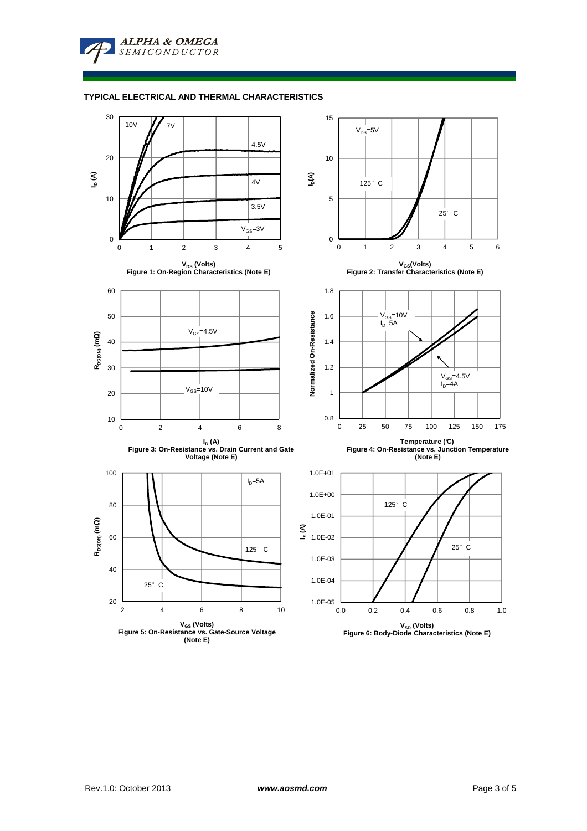**ALPHA & OMEGA SEMICONDUCTOR** 

### **TYPICAL ELECTRICAL AND THERMAL CHARACTERISTICS**

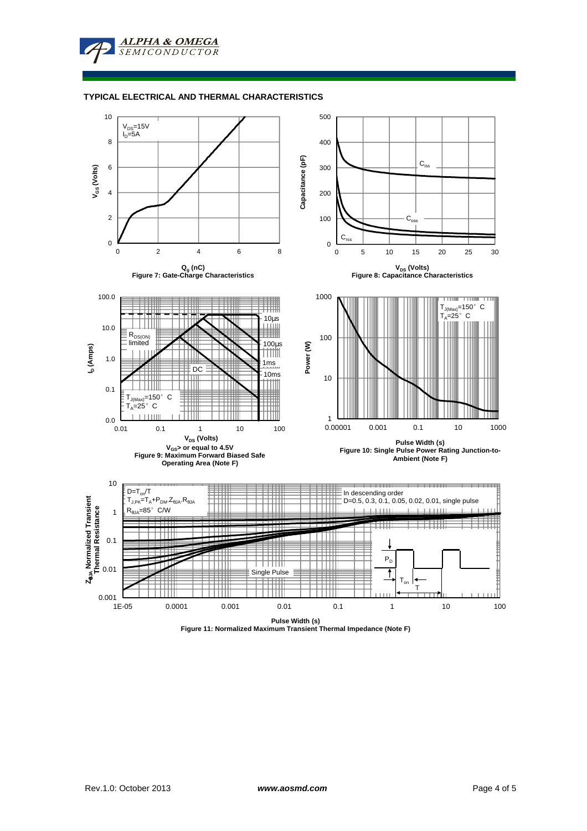

### **TYPICAL ELECTRICAL AND THERMAL CHARACTERISTICS**



**Pulse Width (s) Figure 11: Normalized Maximum Transient Thermal Impedance (Note F)**